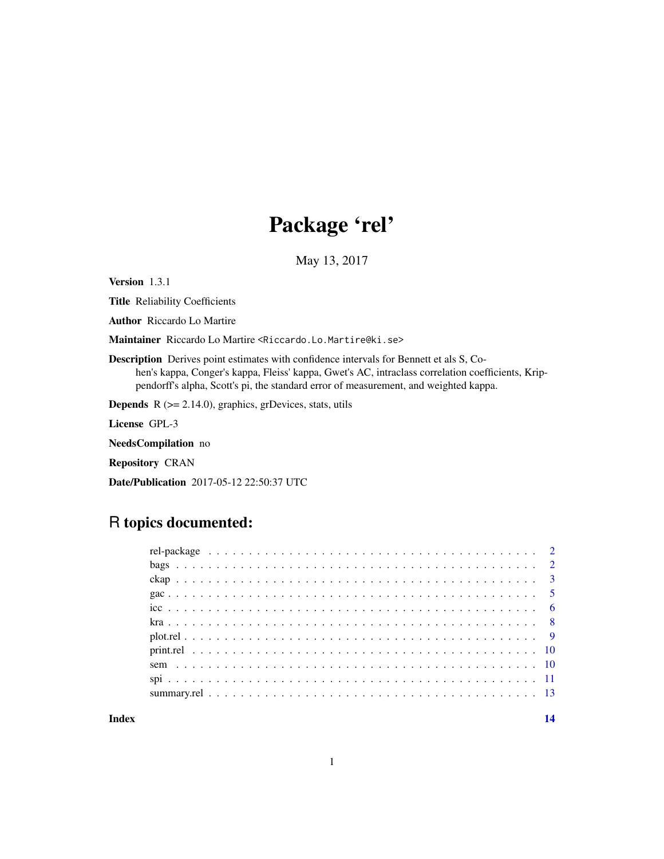## Package 'rel'

May 13, 2017

Version 1.3.1

Title Reliability Coefficients

Author Riccardo Lo Martire

Maintainer Riccardo Lo Martire <Riccardo.Lo.Martire@ki.se>

Description Derives point estimates with confidence intervals for Bennett et als S, Cohen's kappa, Conger's kappa, Fleiss' kappa, Gwet's AC, intraclass correlation coefficients, Krippendorff's alpha, Scott's pi, the standard error of measurement, and weighted kappa.

**Depends** R  $(>= 2.14.0)$ , graphics, grDevices, stats, utils

License GPL-3

NeedsCompilation no

Repository CRAN

Date/Publication 2017-05-12 22:50:37 UTC

## R topics documented:

**Index** 2008 **[14](#page-13-0)**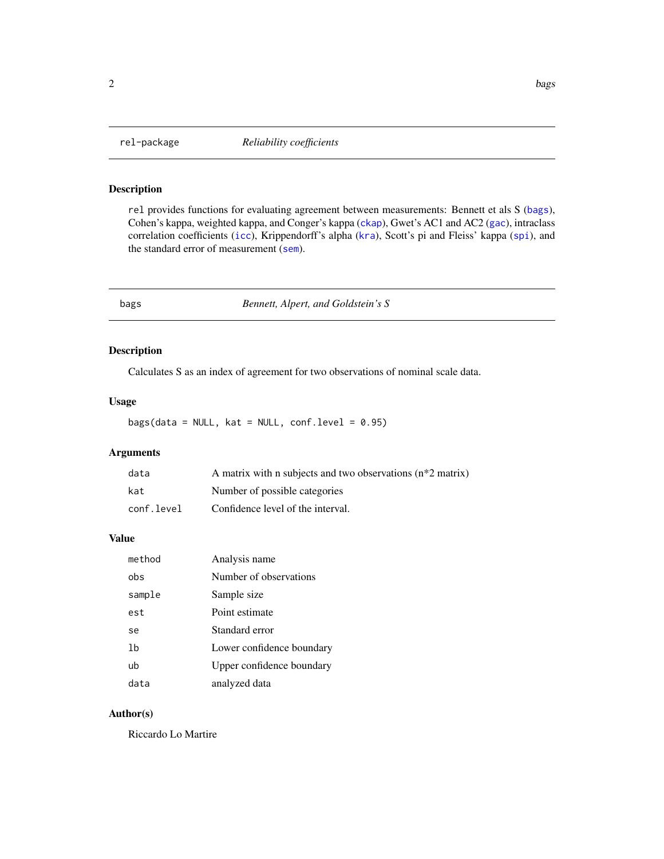<span id="page-1-0"></span>

### Description

rel provides functions for evaluating agreement between measurements: Bennett et als S ([bags](#page-1-1)), Cohen's kappa, weighted kappa, and Conger's kappa ([ckap](#page-2-1)), Gwet's AC1 and AC2 ([gac](#page-4-1)), intraclass correlation coefficients ([icc](#page-5-1)), Krippendorff's alpha ([kra](#page-7-1)), Scott's pi and Fleiss' kappa ([spi](#page-10-1)), and the standard error of measurement ([sem](#page-9-1)).

<span id="page-1-1"></span>

bags *Bennett, Alpert, and Goldstein's S*

### Description

Calculates S as an index of agreement for two observations of nominal scale data.

### Usage

 $bags(data = NULL, kat = NULL, conf.level = 0.95)$ 

### Arguments

| data       | A matrix with n subjects and two observations (n*2 matrix) |
|------------|------------------------------------------------------------|
| kat        | Number of possible categories                              |
| conf.level | Confidence level of the interval.                          |

### Value

| method | Analysis name             |
|--------|---------------------------|
| obs    | Number of observations    |
| sample | Sample size               |
| est    | Point estimate            |
| se     | Standard error            |
| 1b     | Lower confidence boundary |
| ub     | Upper confidence boundary |
| data   | analyzed data             |

### Author(s)

Riccardo Lo Martire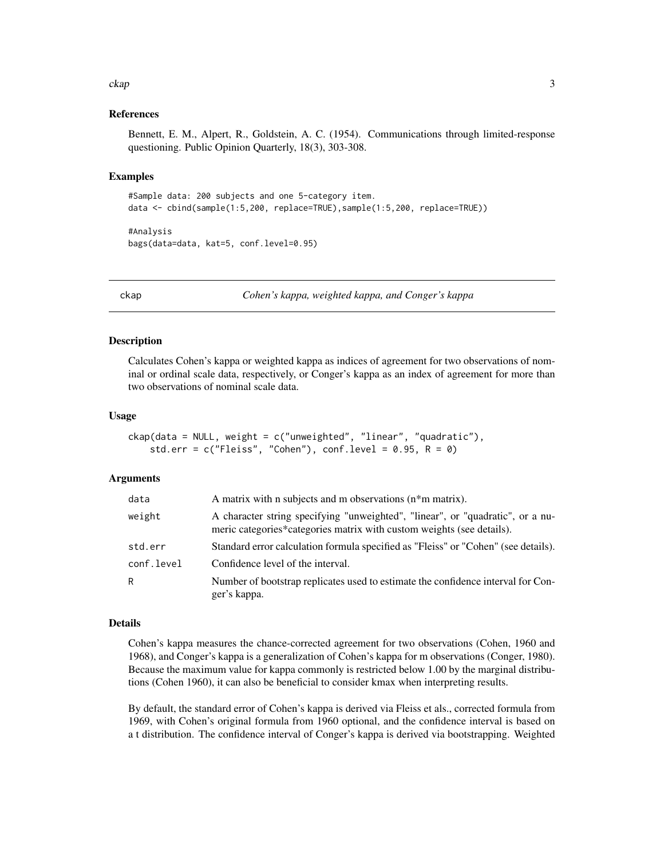### <span id="page-2-0"></span>ckap 3

### References

Bennett, E. M., Alpert, R., Goldstein, A. C. (1954). Communications through limited-response questioning. Public Opinion Quarterly, 18(3), 303-308.

### Examples

```
#Sample data: 200 subjects and one 5-category item.
data <- cbind(sample(1:5,200, replace=TRUE),sample(1:5,200, replace=TRUE))
```

```
#Analysis
bags(data=data, kat=5, conf.level=0.95)
```
<span id="page-2-1"></span>ckap *Cohen's kappa, weighted kappa, and Conger's kappa*

### Description

Calculates Cohen's kappa or weighted kappa as indices of agreement for two observations of nominal or ordinal scale data, respectively, or Conger's kappa as an index of agreement for more than two observations of nominal scale data.

### Usage

```
ckap(data = NULL, weight = c("unweighted", "linear", "quadratic"),
    std.err = c("Fleiss", "Cohen"), conf.level = 0.95, R = 0)
```
### Arguments

| data       | A matrix with n subjects and m observations $(n * m \text{ matrix})$ .                                                                                  |
|------------|---------------------------------------------------------------------------------------------------------------------------------------------------------|
| weight     | A character string specifying "unweighted", "linear", or "quadratic", or a nu-<br>meric categories*categories matrix with custom weights (see details). |
| std.err    | Standard error calculation formula specified as "Fleiss" or "Cohen" (see details).                                                                      |
| conf.level | Confidence level of the interval.                                                                                                                       |
| R          | Number of bootstrap replicates used to estimate the confidence interval for Con-<br>ger's kappa.                                                        |

### Details

Cohen's kappa measures the chance-corrected agreement for two observations (Cohen, 1960 and 1968), and Conger's kappa is a generalization of Cohen's kappa for m observations (Conger, 1980). Because the maximum value for kappa commonly is restricted below 1.00 by the marginal distributions (Cohen 1960), it can also be beneficial to consider kmax when interpreting results.

By default, the standard error of Cohen's kappa is derived via Fleiss et als., corrected formula from 1969, with Cohen's original formula from 1960 optional, and the confidence interval is based on a t distribution. The confidence interval of Conger's kappa is derived via bootstrapping. Weighted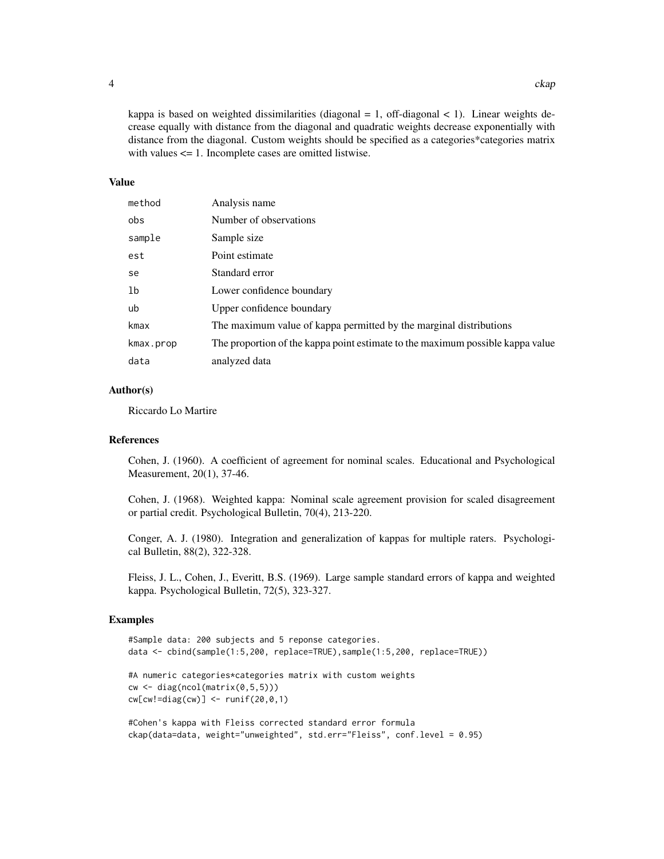kappa is based on weighted dissimilarities (diagonal  $= 1$ , off-diagonal  $< 1$ ). Linear weights decrease equally with distance from the diagonal and quadratic weights decrease exponentially with distance from the diagonal. Custom weights should be specified as a categories\*categories matrix with values <= 1. Incomplete cases are omitted listwise.

### Value

| method         | Analysis name                                                                  |
|----------------|--------------------------------------------------------------------------------|
| obs            | Number of observations                                                         |
| sample         | Sample size                                                                    |
| est            | Point estimate                                                                 |
| se             | Standard error                                                                 |
| 1 <sub>b</sub> | Lower confidence boundary                                                      |
| ub             | Upper confidence boundary                                                      |
| kmax           | The maximum value of kappa permitted by the marginal distributions             |
| kmax.prop      | The proportion of the kappa point estimate to the maximum possible kappa value |
| data           | analyzed data                                                                  |

### Author(s)

Riccardo Lo Martire

### References

Cohen, J. (1960). A coefficient of agreement for nominal scales. Educational and Psychological Measurement, 20(1), 37-46.

Cohen, J. (1968). Weighted kappa: Nominal scale agreement provision for scaled disagreement or partial credit. Psychological Bulletin, 70(4), 213-220.

Conger, A. J. (1980). Integration and generalization of kappas for multiple raters. Psychological Bulletin, 88(2), 322-328.

Fleiss, J. L., Cohen, J., Everitt, B.S. (1969). Large sample standard errors of kappa and weighted kappa. Psychological Bulletin, 72(5), 323-327.

### Examples

```
#Sample data: 200 subjects and 5 reponse categories.
data <- cbind(sample(1:5,200, replace=TRUE),sample(1:5,200, replace=TRUE))
#A numeric categories*categories matrix with custom weights
cw \leftarrow diag(ncol(matrix(0, 5, 5)))cw[cw!=diag(cw)] \le - runif(20,0,1)
```

```
#Cohen's kappa with Fleiss corrected standard error formula
ckap(data=data, weight="unweighted", std.err="Fleiss", conf.level = 0.95)
```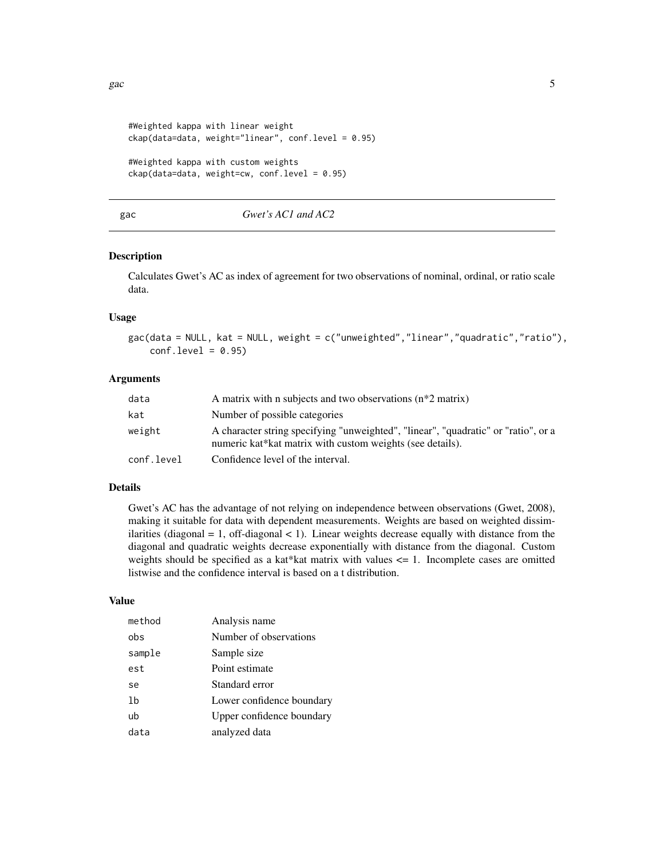```
#Weighted kappa with linear weight
ckap(data=data, weight="linear", conf.level = 0.95)
#Weighted kappa with custom weights
ckap(data=data, weight=cw, conf.level = 0.95)
```
### <span id="page-4-1"></span>gac *Gwet's AC1 and AC2*

### Description

Calculates Gwet's AC as index of agreement for two observations of nominal, ordinal, or ratio scale data.

### Usage

gac(data = NULL, kat = NULL, weight = c("unweighted","linear","quadratic","ratio"),  $conf. level = 0.95$ 

### Arguments

| data       | A matrix with n subjects and two observations $(n^*2 \text{ matrix})$                                                                           |
|------------|-------------------------------------------------------------------------------------------------------------------------------------------------|
| kat        | Number of possible categories                                                                                                                   |
| weight     | A character string specifying "unweighted", "linear", "quadratic" or "ratio", or a<br>numeric kat*kat matrix with custom weights (see details). |
| conf.level | Confidence level of the interval.                                                                                                               |

### Details

Gwet's AC has the advantage of not relying on independence between observations (Gwet, 2008), making it suitable for data with dependent measurements. Weights are based on weighted dissimilarities (diagonal  $= 1$ , off-diagonal  $< 1$ ). Linear weights decrease equally with distance from the diagonal and quadratic weights decrease exponentially with distance from the diagonal. Custom weights should be specified as a kat\*kat matrix with values  $\leq$  1. Incomplete cases are omitted listwise and the confidence interval is based on a t distribution.

### Value

| method | Analysis name             |
|--------|---------------------------|
| obs    | Number of observations    |
| sample | Sample size               |
| est    | Point estimate            |
| se     | Standard error            |
| 1b     | Lower confidence boundary |
| ub     | Upper confidence boundary |
| data   | analyzed data             |

<span id="page-4-0"></span>gac  $\sim$  5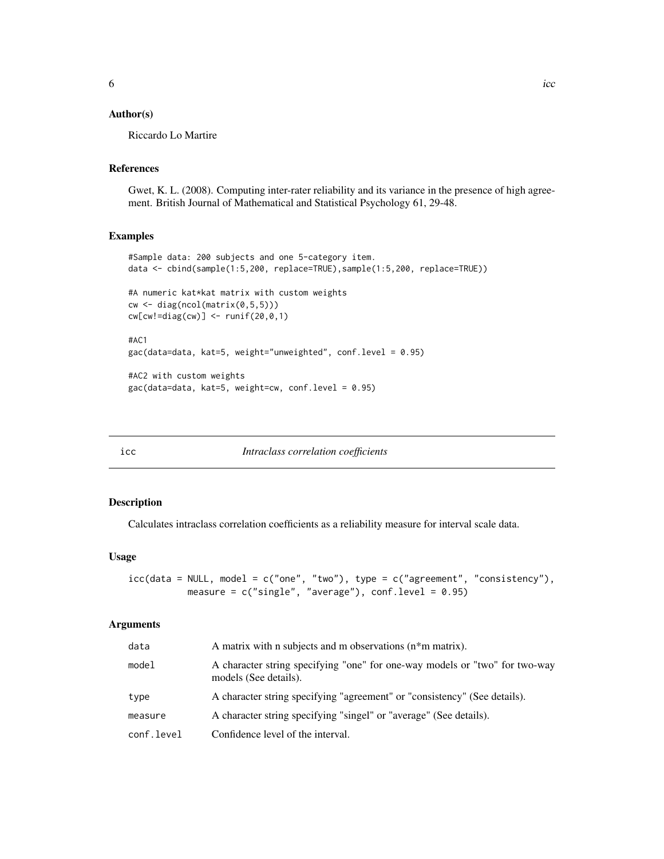### <span id="page-5-0"></span>Author(s)

Riccardo Lo Martire

### References

Gwet, K. L. (2008). Computing inter-rater reliability and its variance in the presence of high agreement. British Journal of Mathematical and Statistical Psychology 61, 29-48.

### Examples

```
#Sample data: 200 subjects and one 5-category item.
data <- cbind(sample(1:5,200, replace=TRUE),sample(1:5,200, replace=TRUE))
#A numeric kat*kat matrix with custom weights
cw <- diag(ncol(matrix(0,5,5)))
cw[cw!=diag(cw)] <- runif(20,0,1)
#AC1
gac(data=data, kat=5, weight="unweighted", conf.level = 0.95)
#AC2 with custom weights
gac(data=data, kat=5, weight=cw, conf.level = 0.95)
```
<span id="page-5-1"></span>

| ×<br>×<br>I<br>M.<br>۰. | × |
|-------------------------|---|

icc *Intraclass correlation coefficients*

### Description

Calculates intraclass correlation coefficients as a reliability measure for interval scale data.

### Usage

```
icc(data = NULL, model = c("one", "two"), type = c("agreement", "consistency"),
          measure = c("single", "average"), conf. level = 0.95)
```
### Arguments

| data       | A matrix with n subjects and m observations (n*m matrix).                                            |
|------------|------------------------------------------------------------------------------------------------------|
| model      | A character string specifying "one" for one-way models or "two" for two-way<br>models (See details). |
| type       | A character string specifying "agreement" or "consistency" (See details).                            |
| measure    | A character string specifying "singel" or "average" (See details).                                   |
| conf.level | Confidence level of the interval.                                                                    |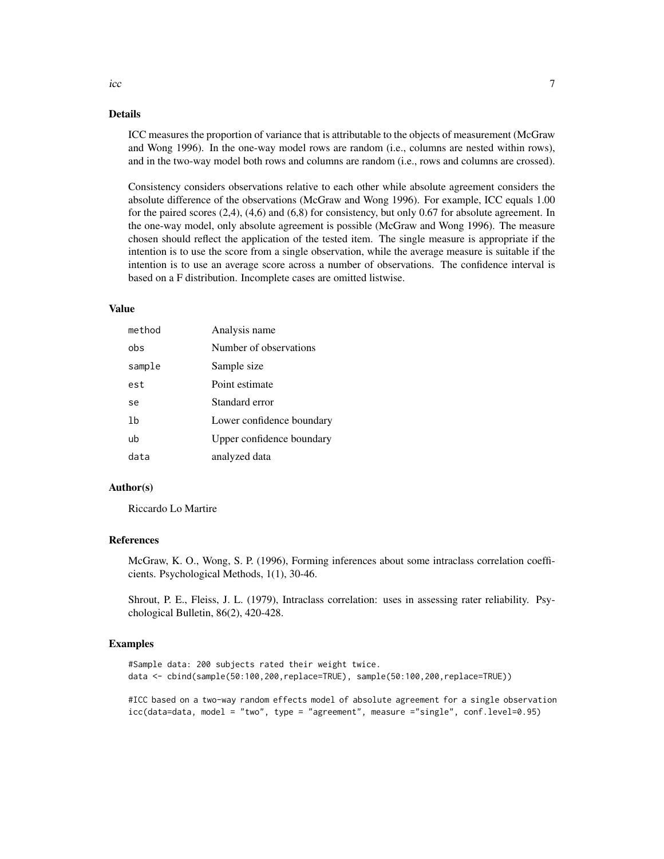### Details

ICC measures the proportion of variance that is attributable to the objects of measurement (McGraw and Wong 1996). In the one-way model rows are random (i.e., columns are nested within rows), and in the two-way model both rows and columns are random (i.e., rows and columns are crossed).

Consistency considers observations relative to each other while absolute agreement considers the absolute difference of the observations (McGraw and Wong 1996). For example, ICC equals 1.00 for the paired scores (2,4), (4,6) and (6,8) for consistency, but only 0.67 for absolute agreement. In the one-way model, only absolute agreement is possible (McGraw and Wong 1996). The measure chosen should reflect the application of the tested item. The single measure is appropriate if the intention is to use the score from a single observation, while the average measure is suitable if the intention is to use an average score across a number of observations. The confidence interval is based on a F distribution. Incomplete cases are omitted listwise.

### Value

| method | Analysis name             |
|--------|---------------------------|
| obs    | Number of observations    |
| sample | Sample size               |
| est    | Point estimate            |
| se     | Standard error            |
| 1b     | Lower confidence boundary |
| ub     | Upper confidence boundary |
| data   | analyzed data             |

### Author(s)

Riccardo Lo Martire

### References

McGraw, K. O., Wong, S. P. (1996), Forming inferences about some intraclass correlation coefficients. Psychological Methods, 1(1), 30-46.

Shrout, P. E., Fleiss, J. L. (1979), Intraclass correlation: uses in assessing rater reliability. Psychological Bulletin, 86(2), 420-428.

### Examples

```
#Sample data: 200 subjects rated their weight twice.
data <- cbind(sample(50:100,200,replace=TRUE), sample(50:100,200,replace=TRUE))
```
#ICC based on a two-way random effects model of absolute agreement for a single observation icc(data=data, model = "two", type = "agreement", measure ="single", conf.level=0.95)

 $\frac{1}{2}$  icc  $\frac{1}{2}$   $\frac{1}{2}$   $\frac{1}{2}$   $\frac{1}{2}$   $\frac{1}{2}$   $\frac{1}{2}$   $\frac{1}{2}$   $\frac{1}{2}$   $\frac{1}{2}$   $\frac{1}{2}$   $\frac{1}{2}$   $\frac{1}{2}$   $\frac{1}{2}$   $\frac{1}{2}$   $\frac{1}{2}$   $\frac{1}{2}$   $\frac{1}{2}$   $\frac{1}{2}$   $\frac{1}{2}$   $\frac{1}{2}$   $\frac{1}{2$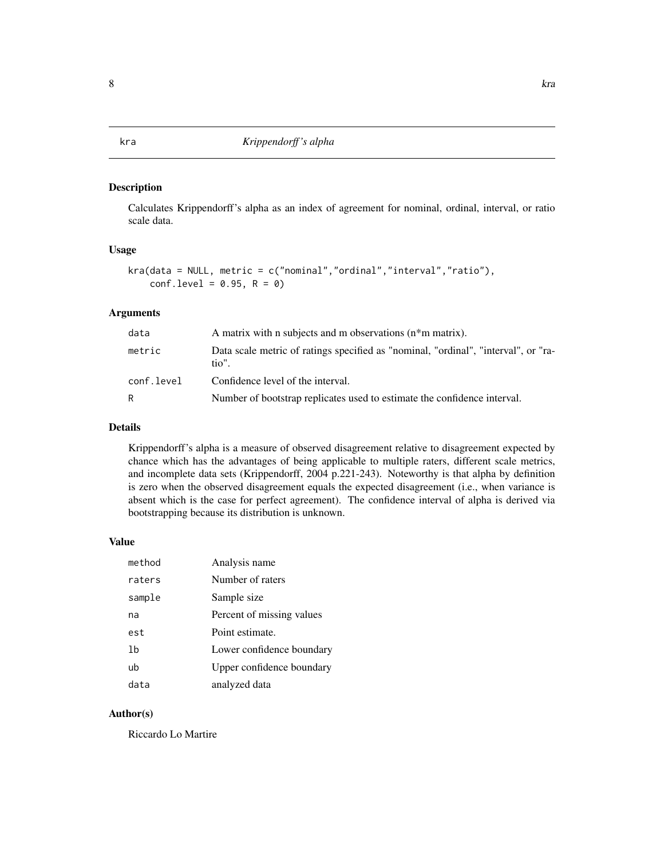### <span id="page-7-1"></span><span id="page-7-0"></span>Description

Calculates Krippendorff's alpha as an index of agreement for nominal, ordinal, interval, or ratio scale data.

### Usage

```
kra(data = NULL, metric = c("nominal","ordinal","interval","ratio"),
    conf. level = 0.95, R = 0)
```
### Arguments

| data       | A matrix with n subjects and m observations (n*m matrix).                                   |  |
|------------|---------------------------------------------------------------------------------------------|--|
| metric     | Data scale metric of ratings specified as "nominal, "ordinal", "interval", or "ra-<br>tio". |  |
| conf.level | Confidence level of the interval.                                                           |  |
| R          | Number of bootstrap replicates used to estimate the confidence interval.                    |  |

### Details

Krippendorff's alpha is a measure of observed disagreement relative to disagreement expected by chance which has the advantages of being applicable to multiple raters, different scale metrics, and incomplete data sets (Krippendorff, 2004 p.221-243). Noteworthy is that alpha by definition is zero when the observed disagreement equals the expected disagreement (i.e., when variance is absent which is the case for perfect agreement). The confidence interval of alpha is derived via bootstrapping because its distribution is unknown.

### Value

| method | Analysis name             |
|--------|---------------------------|
| raters | Number of raters          |
| sample | Sample size               |
| na     | Percent of missing values |
| est    | Point estimate.           |
| lb     | Lower confidence boundary |
| ub     | Upper confidence boundary |
| data   | analyzed data             |

### Author(s)

Riccardo Lo Martire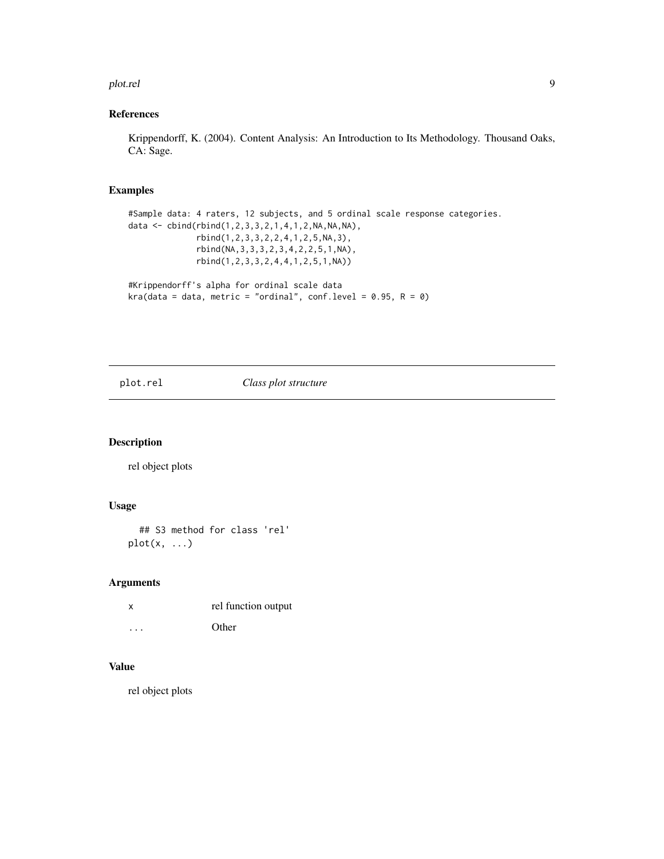### <span id="page-8-0"></span>plot.rel 9

### References

Krippendorff, K. (2004). Content Analysis: An Introduction to Its Methodology. Thousand Oaks, CA: Sage.

### Examples

```
#Sample data: 4 raters, 12 subjects, and 5 ordinal scale response categories.
data <- cbind(rbind(1,2,3,3,2,1,4,1,2,NA,NA,NA),
             rbind(1,2,3,3,2,2,4,1,2,5,NA,3),
             rbind(NA,3,3,3,2,3,4,2,2,5,1,NA),
             rbind(1,2,3,3,2,4,4,1,2,5,1,NA))
#Krippendorff's alpha for ordinal scale data
kra(data = data, metric = "ordial", conf.level = 0.95, R = 0)
```
### plot.rel *Class plot structure*

### Description

rel object plots

### Usage

```
## S3 method for class 'rel'
plot(x, \ldots)
```
### Arguments

| X        | rel function output |
|----------|---------------------|
| $\cdots$ | Other               |

### Value

rel object plots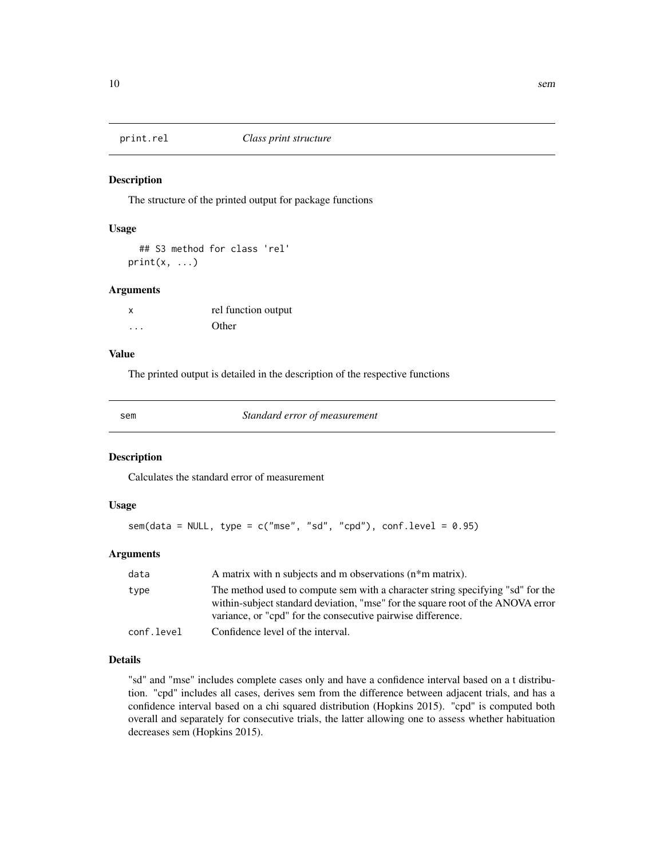<span id="page-9-0"></span>

### Description

The structure of the printed output for package functions

### Usage

```
## S3 method for class 'rel'
print(x, \ldots)
```
### Arguments

| X | rel function output |
|---|---------------------|
| . | Other               |

### Value

The printed output is detailed in the description of the respective functions

<span id="page-9-1"></span>

sem *Standard error of measurement*

### Description

Calculates the standard error of measurement

### Usage

```
sem(data = NULL, type = c("mse", "sd", "cpd"), conf. level = 0.95)
```
### Arguments

| data       | A matrix with n subjects and m observations (n*m matrix).                                                                                                                                                                        |
|------------|----------------------------------------------------------------------------------------------------------------------------------------------------------------------------------------------------------------------------------|
| type       | The method used to compute sem with a character string specifying "sd" for the<br>within-subject standard deviation, "mse" for the square root of the ANOVA error<br>variance, or "cpd" for the consecutive pairwise difference. |
| conf.level | Confidence level of the interval.                                                                                                                                                                                                |

### Details

"sd" and "mse" includes complete cases only and have a confidence interval based on a t distribution. "cpd" includes all cases, derives sem from the difference between adjacent trials, and has a confidence interval based on a chi squared distribution (Hopkins 2015). "cpd" is computed both overall and separately for consecutive trials, the latter allowing one to assess whether habituation decreases sem (Hopkins 2015).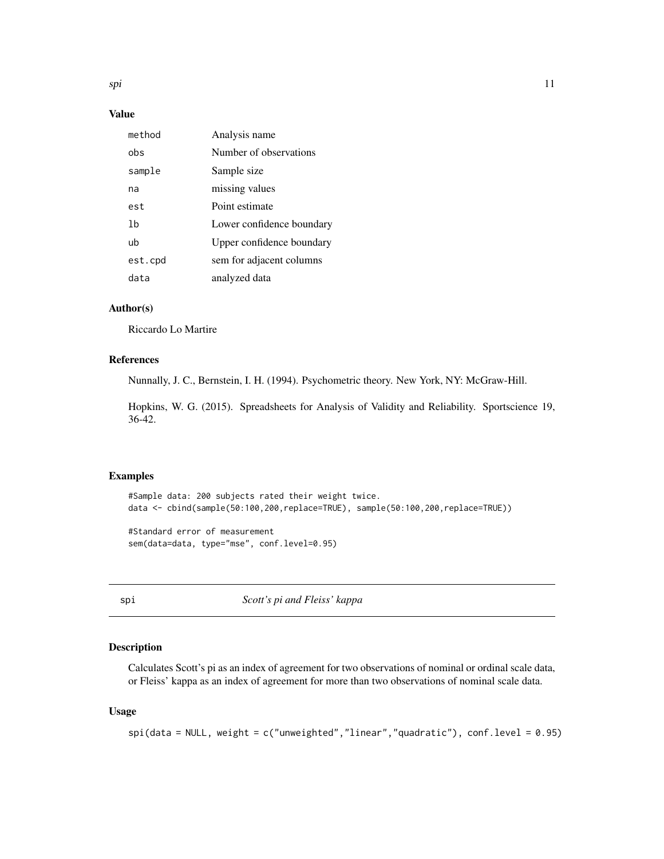<span id="page-10-0"></span>spi termine termine termine termine termine termine termine termine termine termine termine termine termine te

### Value

| method  | Analysis name             |
|---------|---------------------------|
| obs     | Number of observations    |
| sample  | Sample size               |
| na      | missing values            |
| est     | Point estimate            |
| 1b      | Lower confidence boundary |
| ub      | Upper confidence boundary |
| est.cpd | sem for adjacent columns  |
| data    | analyzed data             |

### Author(s)

Riccardo Lo Martire

### References

Nunnally, J. C., Bernstein, I. H. (1994). Psychometric theory. New York, NY: McGraw-Hill.

Hopkins, W. G. (2015). Spreadsheets for Analysis of Validity and Reliability. Sportscience 19, 36-42.

### Examples

```
#Sample data: 200 subjects rated their weight twice.
data <- cbind(sample(50:100,200,replace=TRUE), sample(50:100,200,replace=TRUE))
```
#Standard error of measurement sem(data=data, type="mse", conf.level=0.95)

<span id="page-10-1"></span>spi *Scott's pi and Fleiss' kappa*

### Description

Calculates Scott's pi as an index of agreement for two observations of nominal or ordinal scale data, or Fleiss' kappa as an index of agreement for more than two observations of nominal scale data.

### Usage

```
spi(data = NULL, weight = c("unweighted","linear","quadratic"), conf.level = 0.95)
```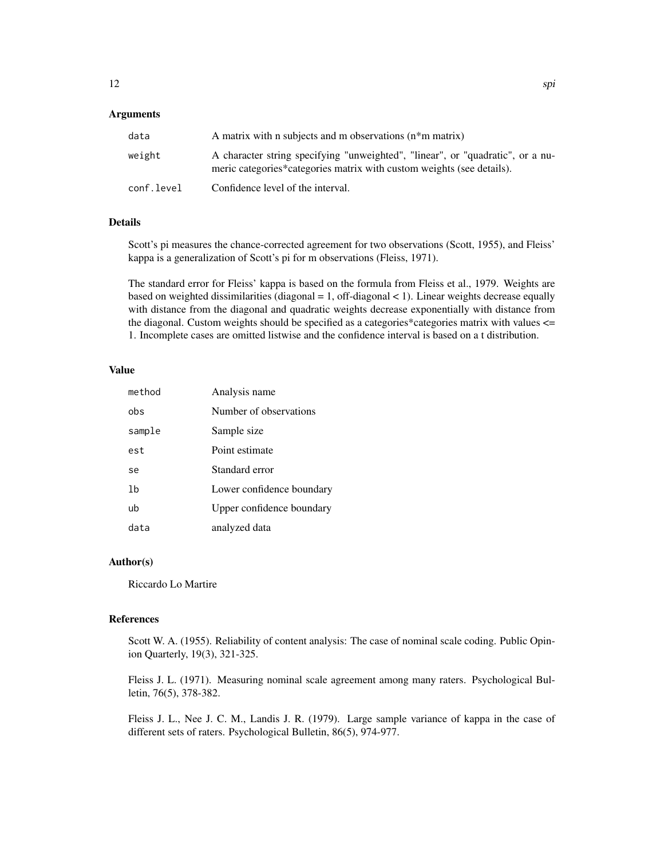### Arguments

| data       | A matrix with n subjects and m observations $(n * m \text{ matrix})$                                                                                    |
|------------|---------------------------------------------------------------------------------------------------------------------------------------------------------|
| weight     | A character string specifying "unweighted", "linear", or "quadratic", or a nu-<br>meric categories*categories matrix with custom weights (see details). |
| conf.level | Confidence level of the interval.                                                                                                                       |

### Details

Scott's pi measures the chance-corrected agreement for two observations (Scott, 1955), and Fleiss' kappa is a generalization of Scott's pi for m observations (Fleiss, 1971).

The standard error for Fleiss' kappa is based on the formula from Fleiss et al., 1979. Weights are based on weighted dissimilarities (diagonal = 1, off-diagonal < 1). Linear weights decrease equally with distance from the diagonal and quadratic weights decrease exponentially with distance from the diagonal. Custom weights should be specified as a categories\*categories matrix with values <= 1. Incomplete cases are omitted listwise and the confidence interval is based on a t distribution.

### Value

| method | Analysis name             |
|--------|---------------------------|
| obs    | Number of observations    |
| sample | Sample size               |
| est    | Point estimate            |
| se     | Standard error            |
| 1b     | Lower confidence boundary |
| ub     | Upper confidence boundary |
| data   | analyzed data             |

### Author(s)

Riccardo Lo Martire

### References

Scott W. A. (1955). Reliability of content analysis: The case of nominal scale coding. Public Opinion Quarterly, 19(3), 321-325.

Fleiss J. L. (1971). Measuring nominal scale agreement among many raters. Psychological Bulletin, 76(5), 378-382.

Fleiss J. L., Nee J. C. M., Landis J. R. (1979). Large sample variance of kappa in the case of different sets of raters. Psychological Bulletin, 86(5), 974-977.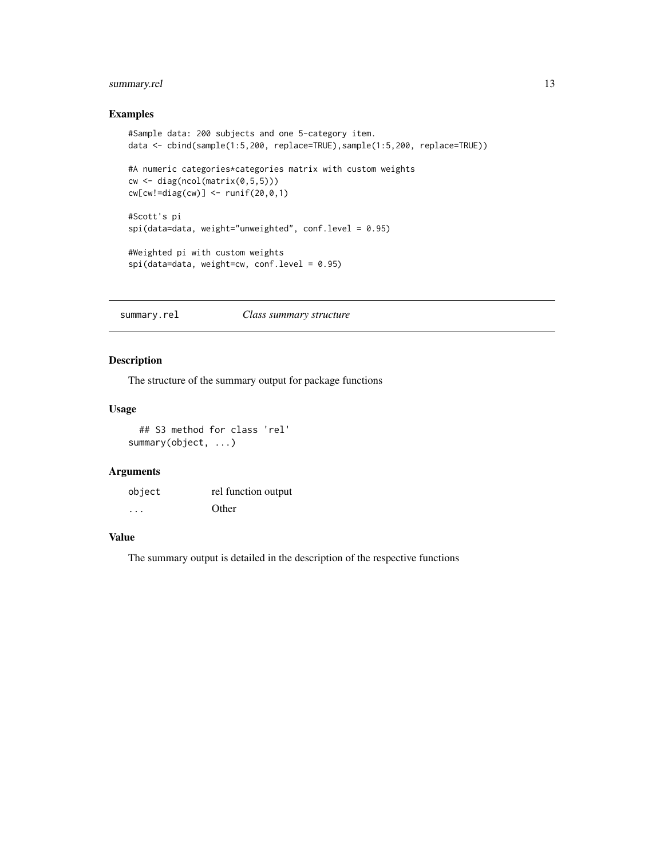### <span id="page-12-0"></span>summary.rel 13

### Examples

```
#Sample data: 200 subjects and one 5-category item.
data <- cbind(sample(1:5,200, replace=TRUE),sample(1:5,200, replace=TRUE))
#A numeric categories*categories matrix with custom weights
cw \leftarrow diag(ncol(matrix(0, 5, 5)))cw[cw!=diag(cw)] \leftarrow runif(20,0,1)#Scott's pi
spi(data=data, weight="unweighted", conf.level = 0.95)
#Weighted pi with custom weights
spi(data=data, weight=cw, conf.level = 0.95)
```
summary.rel *Class summary structure*

### Description

The structure of the summary output for package functions

### Usage

## S3 method for class 'rel' summary(object, ...)

### Arguments

| object | rel function output |
|--------|---------------------|
| .      | Other               |

### Value

The summary output is detailed in the description of the respective functions